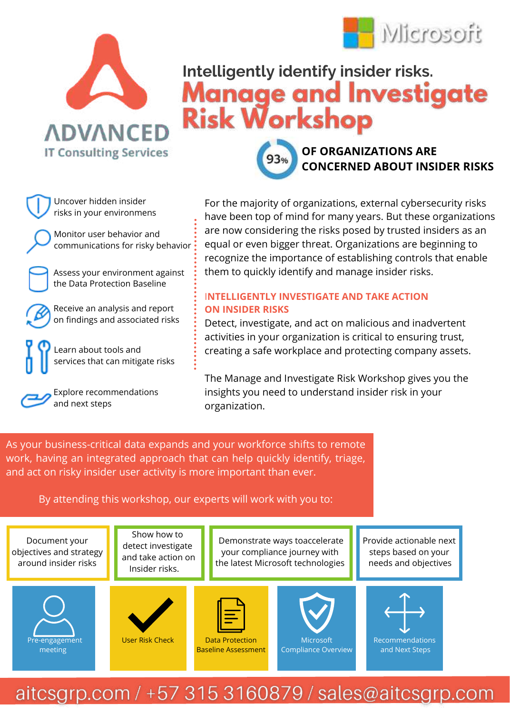



# **Intelligently identify insider risks. Risk Workshop**



Uncover hidden insider risks in your environmens

**IT Consulting Services** 

Monitor user behavior and communications for risky behavior

Assess your environment against the Data Protection Baseline

Receive an analysis and report on findings and associated risks

Learn about tools and services that can mitigate risks

Explore recommendations and next steps

For the majority of organizations, external cybersecurity risks have been top of mind for many years. But these organizations are now considering the risks posed by trusted insiders as an equal or even bigger threat. Organizations are beginning to recognize the importance of establishing controls that enable them to quickly identify and manage insider risks.

#### I**NTELLIGENTLY INVESTIGATE AND TAKE ACTION ON INSIDER RISKS**

Detect, investigate, and act on malicious and inadvertent activities in your organization is critical to ensuring trust, creating a safe workplace and protecting company assets.

The Manage and Investigate Risk Workshop gives you the insights you need to understand insider risk in your organization.

As your business-critical data expands and your workforce shifts to remote work, having an integrated approach that can help quickly identify, triage, and act on risky insider user activity is more important than ever.

By attending this workshop, our experts will work with you to: i.

Document your objectives and strategy around insider risks

> Pre-engagement meeting

Show how to detect investigate and take action on Insider risks.

User Risk Check

Demonstrate ways toaccelerate your compliance journey with the latest Microsoft technologies

> **Microsoft** Compliance Overview

Provide actionable next steps based on your needs and objectives



Recommendations and Next Steps

## aitcsgrp.com / +57 315 3160879 / sales@aitcsgrp.com

Data Protection Baseline Assessment ł.